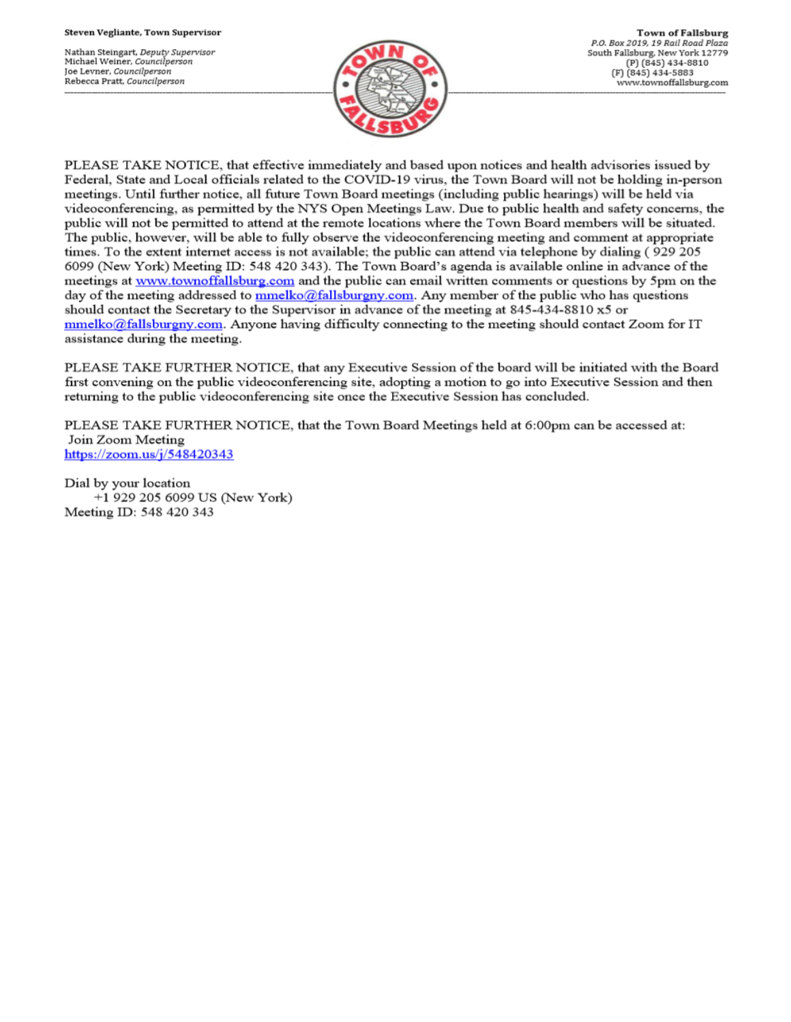Nathan Steingart, Deputy Supervisor Michael Weiner, Councilperson Joe Levner, Councilperson Rebecca Pratt, Councilperson



PLEASE TAKE NOTICE, that effective immediately and based upon notices and health advisories issued by Federal, State and Local officials related to the COVID-19 virus, the Town Board will not be holding in-person meetings. Until further notice, all future Town Board meetings (including public hearings) will be held via videoconferencing, as permitted by the NYS Open Meetings Law. Due to public health and safety concerns, the public will not be permitted to attend at the remote locations where the Town Board members will be situated. The public, however, will be able to fully observe the videoconferencing meeting and comment at appropriate times. To the extent internet access is not available; the public can attend via telephone by dialing (929 205 6099 (New York) Meeting ID: 548 420 343). The Town Board's agenda is available online in advance of the meetings at www.townoffallsburg.com and the public can email written comments or questions by 5pm on the day of the meeting addressed to  $\frac{mmelko@fallsburgny.com}{mclubluygny.com}$ . Any member of the public who has questions should contact the Secretary to the Supervisor in advance of the meeting at 845-434-8810 x5 or  $mmelko@fallsburgny.com$ . Anyone having difficulty connecting to the meeting should contact Zoom for IT assistance during the meeting.

PLEASE TAKE FURTHER NOTICE, that any Executive Session of the board will be initiated with the Board first convening on the public videoconferencing site, adopting a motion to go into Executive Session and then returning to the public videoconferencing site once the Executive Session has concluded.

PLEASE TAKE FURTHER NOTICE, that the Town Board Meetings held at 6:00pm can be accessed at: Join Zoom Meeting https://zoom.us/j/548420343

Dial by your location +1 929 205 6099 US (New York) Meeting ID: 548 420 343